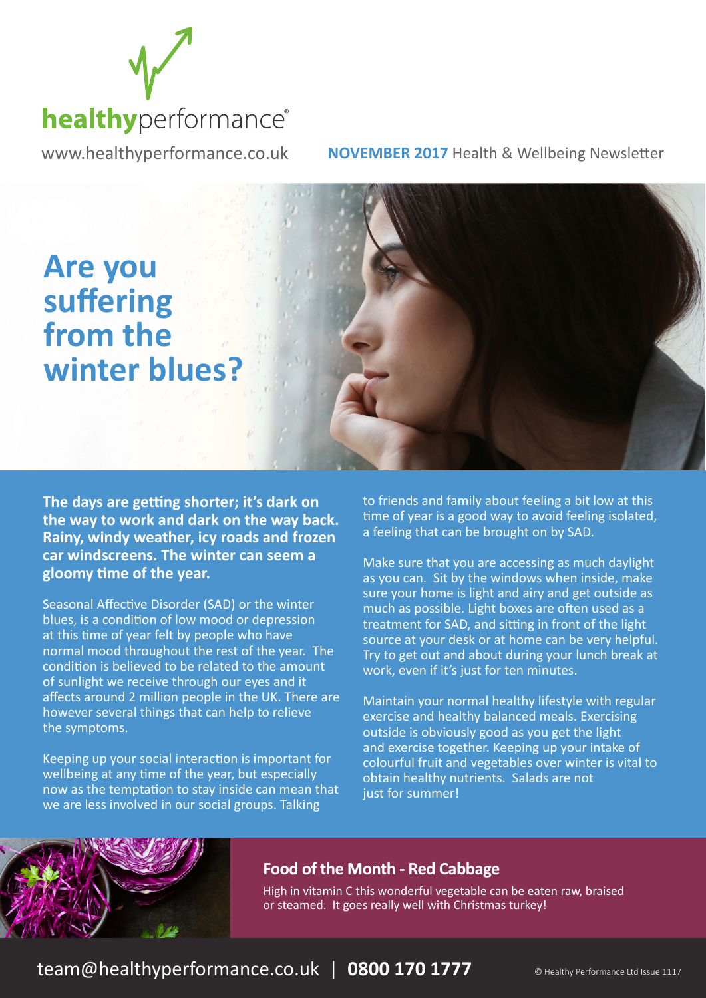

www.healthyperformance.co.uk **NOVEMBER 2017** Health & Wellbeing Newsletter



**The days are getting shorter; it's dark on the way to work and dark on the way back. Rainy, windy weather, icy roads and frozen car windscreens. The winter can seem a gloomy time of the year.** 

Seasonal Affective Disorder (SAD) or the winter blues, is a condition of low mood or depression at this time of year felt by people who have normal mood throughout the rest of the year. The condition is believed to be related to the amount of sunlight we receive through our eyes and it affects around 2 million people in the UK. There are however several things that can help to relieve the symptoms.

Keeping up your social interaction is important for wellbeing at any time of the year, but especially now as the temptation to stay inside can mean that we are less involved in our social groups. Talking

to friends and family about feeling a bit low at this time of year is a good way to avoid feeling isolated, a feeling that can be brought on by SAD.

Make sure that you are accessing as much daylight as you can. Sit by the windows when inside, make sure your home is light and airy and get outside as much as possible. Light boxes are often used as a treatment for SAD, and sitting in front of the light source at your desk or at home can be very helpful. Try to get out and about during your lunch break at work, even if it's just for ten minutes.

Maintain your normal healthy lifestyle with regular exercise and healthy balanced meals. Exercising outside is obviously good as you get the light and exercise together. Keeping up your intake of colourful fruit and vegetables over winter is vital to obtain healthy nutrients. Salads are not just for summer!



### **Food of the Month - Red Cabbage**

High in vitamin C this wonderful vegetable can be eaten raw, braised or steamed. It goes really well with Christmas turkey!

team@healthyperformance.co.uk | 0800 170 1777 **Onealthy Performance Ltd Issue 1117**